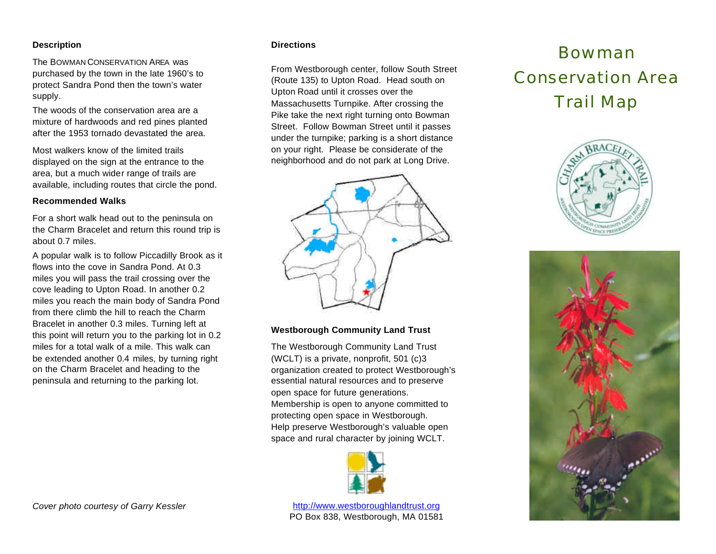## **Description**

The BOWMAN CONSERVATION AREA was purchased by the town in the late 1960's to protect Sandra Pond then the town's water supply.

The woods of the conservation area are a mixture of hardwoods and red pines planted after the 1953 tornado devastated the area.

Most walkers know of the limited trails displayed on the sign at the entrance to the area, but a much wider range of trails are available, including routes that circle the pond.

#### **Recommended Walks**

For a short walk head out to the peninsula on the Charm Bracelet and return this round trip is about 0.7 miles.

A popular walk is to follow Piccadilly Brook as it flows into the cove in Sandra Pond. At 0.3 miles you will pass the trail crossing over the cove leading to Upton Road. In another 0.2 miles you reach the main body of Sandra Pond from there climb the hill to reach the Charm Bracelet in another 0.3 miles. Turning left at this point will return you to the parking lot in 0.2 miles for a total walk of a mile. This walk can be extended another 0.4 miles, by turning right on the Charm Bracelet and heading to the peninsula and returning to the parking lot.

### **Directions**

From Westborough center, follow South Street (Route 135) to Upton Road. Head south on Upton Road until it crosses over the Massachusetts Turnpike. After crossing the Pike take the next right turning onto Bowman Street. Follow Bowman Street until it passes under the turnpike; parking is a short distance on your right. Please be considerate of the neighborhood and do not park at Long Drive.



### **Westborough Community Land Trust**

The Westborough Community Land Trust (WCLT) is a private, nonprofit, 501 (c)3 organization created to protect Westborough's essential natural resources and to preserve open space for future generations. Membership is open to anyone committed to protecting open space in Westborough. Help preserve Westborough's valuable open space and rural character by joining WCLT.



http://www.westboroughlandtrust.org PO Box 838, Westborough, MA 01581

# Bowman Conservation Area Trail Map